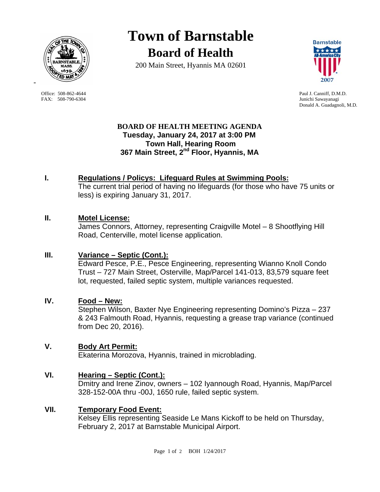

FAX: 508-790-6304 Junichi Sawayanagi

-

**Town of Barnstable Board of Health**

200 Main Street, Hyannis MA 02601



Office: 508-862-4644 Paul J. Canniff, D.M.D. Donald A. Guadagnoli, M.D.

#### **BOARD OF HEALTH MEETING AGENDA Tuesday, January 24, 2017 at 3:00 PM Town Hall, Hearing Room 367 Main Street, 2nd Floor, Hyannis, MA**

# **I. Regulations / Policys: Lifeguard Rules at Swimming Pools:**

The current trial period of having no lifeguards (for those who have 75 units or less) is expiring January 31, 2017.

## **II. Motel License:**

James Connors, Attorney, representing Craigville Motel – 8 Shootflying Hill Road, Centerville, motel license application.

## **III. Variance – Septic (Cont.):**

Edward Pesce, P.E., Pesce Engineering, representing Wianno Knoll Condo Trust – 727 Main Street, Osterville, Map/Parcel 141-013, 83,579 square feet lot, requested, failed septic system, multiple variances requested.

#### **IV. Food – New:**

Stephen Wilson, Baxter Nye Engineering representing Domino's Pizza – 237 & 243 Falmouth Road, Hyannis, requesting a grease trap variance (continued from Dec 20, 2016).

## **V. Body Art Permit:**

Ekaterina Morozova, Hyannis, trained in microblading.

## **VI. Hearing – Septic (Cont.):**

Dmitry and Irene Zinov, owners – 102 Iyannough Road, Hyannis, Map/Parcel 328-152-00A thru -00J, 1650 rule, failed septic system.

## **VII. Temporary Food Event:**

Kelsey Ellis representing Seaside Le Mans Kickoff to be held on Thursday, February 2, 2017 at Barnstable Municipal Airport.